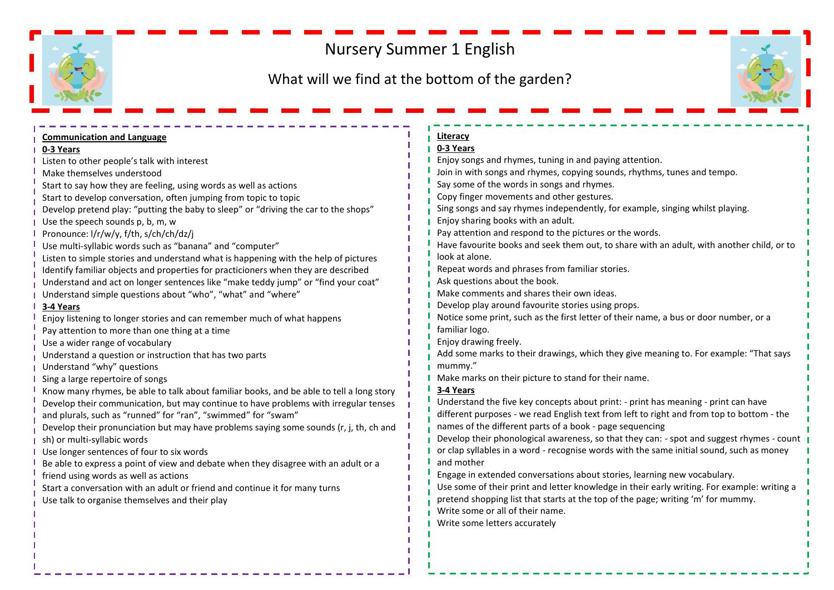## Nursery Summer 1 English

## What will we find at the bottom of the garden?



| <b>Communication and Language</b>                                                        | Literacy                                                                                    |
|------------------------------------------------------------------------------------------|---------------------------------------------------------------------------------------------|
| 0-3 Years                                                                                | 0-3 Years                                                                                   |
| Listen to other people's talk with interest                                              | Enjoy songs and rhymes, tuning in and paying attention.                                     |
| Make themselves understood                                                               | Join in with songs and rhymes, copying sounds, rhythms, tunes and tempo.                    |
| Start to say how they are feeling, using words as well as actions                        | Say some of the words in songs and rhymes.                                                  |
| Start to develop conversation, often jumping from topic to topic                         | Copy finger movements and other gestures.                                                   |
| Develop pretend play: "putting the baby to sleep" or "driving the car to the shops"      | Sing songs and say rhymes independently, for example, singing whilst playing.               |
| Use the speech sounds p, b, m, w                                                         | Enjoy sharing books with an adult.                                                          |
| Pronounce: I/r/w/y, f/th, s/ch/ch/dz/j                                                   | Pay attention and respond to the pictures or the words.                                     |
| Use multi-syllabic words such as "banana" and "computer"                                 | Have favourite books and seek them out, to share with an adult, with another child, or to   |
| Listen to simple stories and understand what is happening with the help of pictures      | look at alone.                                                                              |
| Identify familiar objects and properties for practicioners when they are described       | Repeat words and phrases from familiar stories.                                             |
| Understand and act on longer sentences like "make teddy jump" or "find your coat"        | Ask questions about the book.                                                               |
| Understand simple questions about "who", "what" and "where"                              | Make comments and shares their own ideas.                                                   |
| 3-4 Years                                                                                | Develop play around favourite stories using props.                                          |
| Enjoy listening to longer stories and can remember much of what happens                  | Notice some print, such as the first letter of their name, a bus or door number, or a       |
| Pay attention to more than one thing at a time                                           | familiar logo.                                                                              |
| Use a wider range of vocabulary                                                          | Enjoy drawing freely.                                                                       |
| Understand a question or instruction that has two parts                                  | Add some marks to their drawings, which they give meaning to. For example: "That says       |
| Understand "why" questions                                                               | mummy."                                                                                     |
| Sing a large repertoire of songs                                                         | Make marks on their picture to stand for their name.                                        |
| Know many rhymes, be able to talk about familiar books, and be able to tell a long story | 3-4 Years                                                                                   |
| Develop their communication, but may continue to have problems with irregular tenses     | Understand the five key concepts about print: - print has meaning - print can have          |
| and plurals, such as "runned" for "ran", "swimmed" for "swam"                            | different purposes - we read English text from left to right and from top to bottom - the   |
| Develop their pronunciation but may have problems saying some sounds (r, j, th, ch and   | names of the different parts of a book - page sequencing                                    |
| sh) or multi-syllabic words                                                              | Develop their phonological awareness, so that they can: - spot and suggest rhymes - count   |
| Use longer sentences of four to six words                                                | or clap syllables in a word - recognise words with the same initial sound, such as money    |
| Be able to express a point of view and debate when they disagree with an adult or a      | and mother                                                                                  |
| friend using words as well as actions                                                    | Engage in extended conversations about stories, learning new vocabulary.                    |
| Start a conversation with an adult or friend and continue it for many turns              | Use some of their print and letter knowledge in their early writing. For example: writing a |
| Use talk to organise themselves and their play                                           | pretend shopping list that starts at the top of the page; writing 'm' for mummy.            |
|                                                                                          | Write some or all of their name.                                                            |
|                                                                                          | Write some letters accurately                                                               |
|                                                                                          |                                                                                             |
|                                                                                          |                                                                                             |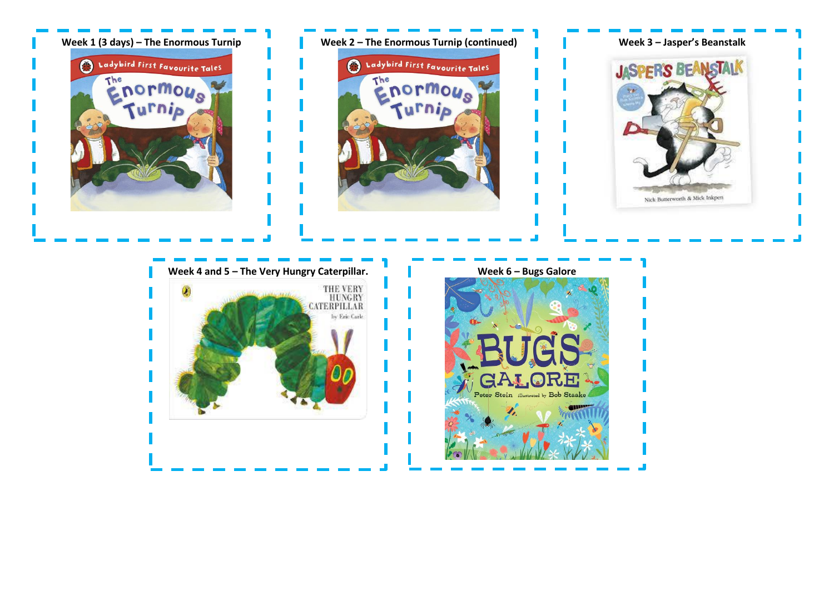

Peter Stein illustrated by Bob Staake